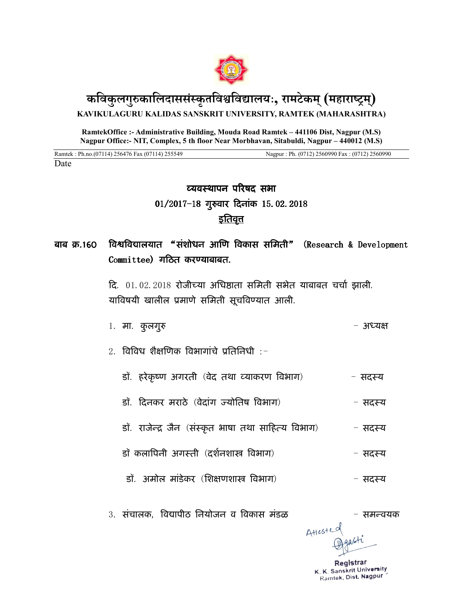

## **किवक ु लग ुकािलदाससकं ृतिविवालयः, रामटेकम (् महाराम) ् KAVIKULAGURU KALIDAS SANSKRIT UNIVERSITY, RAMTEK (MAHARASHTRA)**

**RamtekOffice :- Administrative Building, Mouda Road Ramtek – 441106 Dist, Nagpur (M.S) Nagpur Office:- NIT, Complex, 5 th floor Near Morbhavan, Sitabuldi, Nagpur – 440012 (M.S)**

Ramtek : Ph.no.(07114) 256476 Fax (07114) 255549 Nagpur : Ph. (0712) 2560990 Fax : (0712) 2560990

Date

# व्यवस्थापन परिषद सभा 01/2017-18 गुरुवार दिनांक 15.02.2018 <u>इतिवृत्त</u>

### बाब क्र.160 किथविद्यालयात "संशोधन आणि विकास समिती" (Research & Development  $Commitree$ ) गठित करण्याबाबत.

दि. 01.02.2018 रोजीच्या अधिष्ठाता समिती सभेत याबाबत चर्चा झाली. याविषयी खालील प्रमाणे समिती सूचविण्यात आली.

- 1. मा. कुलगुरु अध्यक्ष करने का अल्यात करने का अध्यक्ष
- $2.$  विविध शैक्षणिक विभागांचे प्रतिनिधी :-
	- डॉ. हरेकृष्ण अगरती (वेद तथा व्याकरण विभाग) सदस्य
	- डॉ. दिनकर मराठे (वेदांग ज्योतिष विभाग) - सदस्य
	- डॉ. राजेन्द्र जैन (संस्कृत भाषा तथा साहित्य विभाग) सदस्य
	- डॉ कलापिनी अगस्ती (दर्शनशास्त्र विभाग) सदस्य
		- डॉ. अमोल मांडेकर (शिक्षणशास्त्र विभाग) - सदस्य
- 3. संचालक, विद्यापीठ नियोजन व विकास मंडळ समन्वयक

 $A^{Hested}$ 

Registrar K. K. Sanskrit University Ramtek, Dist. Nagpur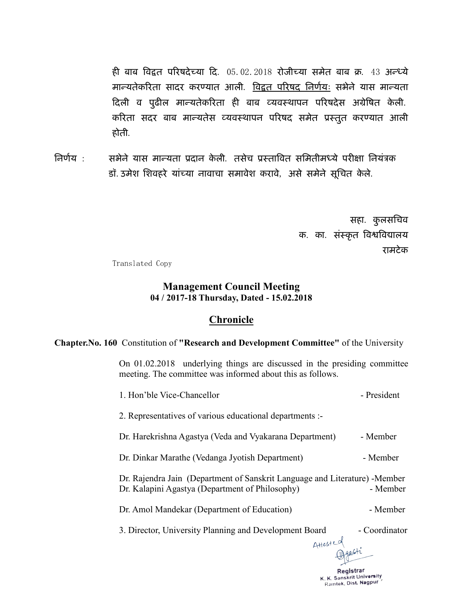ही बाब विद्वत परिषदेच्या दि. 05.02.2018 रोजीच्या समेत बाब क्र. 43 अन्ध्ये मान्यतेकरिता सादर करण्यात आली. <u>विद्वत परिषद निर्णयः</u> सभेने यास मान्यता दिली व पुढील मान्यतेकरिता ही बाब व्यवस्थापन परिषदेस अग्रेषित केली. करिता सदर बाब मान्यतेस व्यवस्थापन परिषद समेत प्रस्तुत करण्यात आली होती.

तिर्णय : सभेने यास मान्यता प्रदान केली. तसेच प्रस्तावित समितीमध्ये परीक्षा नियंत्रक डॉ. उमेश शिवहरे यांच्या नावाचा समावेश करावे, असे समेने सूचित केले.

> सहा. कुलसचिव क. का. संस्कृत विश्वविद्यालय रामटेक

> > K. K. Sanskrit University Ramtek, Dist. Nagpur

Translated Copy

#### **Management Council Meeting 04 / 2017-18 Thursday, Dated - 15.02.2018**

### **Chronicle**

#### **Chapter.No. 160** Constitution of **"Research and Development Committee"** of the University

On 01.02.2018 underlying things are discussed in the presiding committee meeting. The committee was informed about this as follows.

| Registrar                                                                                                                                  |                        |
|--------------------------------------------------------------------------------------------------------------------------------------------|------------------------|
| Attested                                                                                                                                   |                        |
| 3. Director, University Planning and Development Board                                                                                     | $\hbox{-}$ Coordinator |
| Dr. Amol Mandekar (Department of Education)                                                                                                | - Member               |
| Dr. Rajendra Jain (Department of Sanskrit Language and Literature) - Member<br>Dr. Kalapini Agastya (Department of Philosophy)<br>- Member |                        |
| Dr. Dinkar Marathe (Vedanga Jyotish Department)                                                                                            | - Member               |
| Dr. Harekrishna Agastya (Veda and Vyakarana Department)                                                                                    | - Member               |
| 2. Representatives of various educational departments :-                                                                                   |                        |
| 1. Hon'ble Vice-Chancellor                                                                                                                 | - President            |